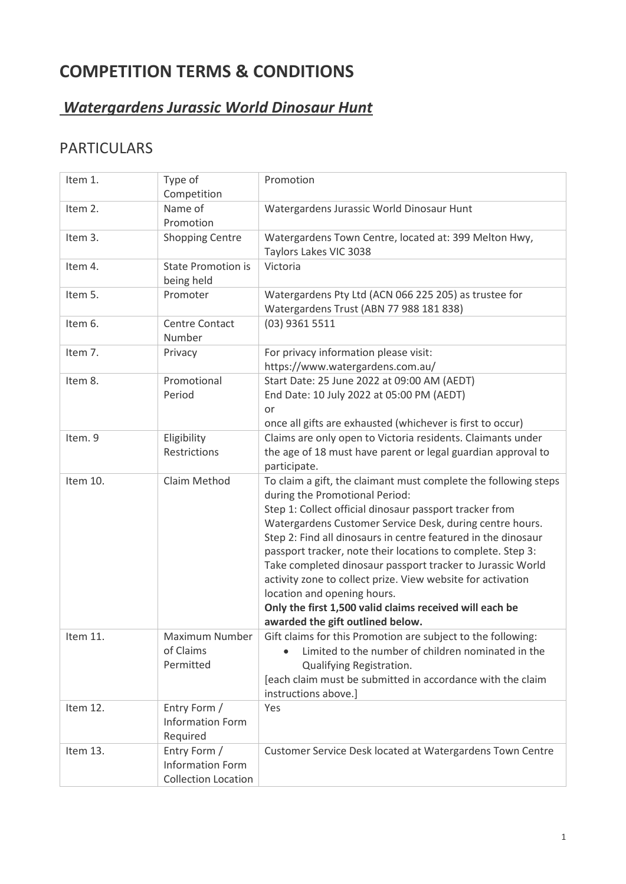# **COMPETITION TERMS & CONDITIONS**

## *Watergardens Jurassic World Dinosaur Hunt*

## PARTICULARS

| Item 1.  | Type of<br>Competition                                                | Promotion                                                                                                                                                                                                                                                                                                                                                                                                                                                                                                                                                                                                           |
|----------|-----------------------------------------------------------------------|---------------------------------------------------------------------------------------------------------------------------------------------------------------------------------------------------------------------------------------------------------------------------------------------------------------------------------------------------------------------------------------------------------------------------------------------------------------------------------------------------------------------------------------------------------------------------------------------------------------------|
| Item 2.  | Name of<br>Promotion                                                  | Watergardens Jurassic World Dinosaur Hunt                                                                                                                                                                                                                                                                                                                                                                                                                                                                                                                                                                           |
| Item 3.  | <b>Shopping Centre</b>                                                | Watergardens Town Centre, located at: 399 Melton Hwy,<br>Taylors Lakes VIC 3038                                                                                                                                                                                                                                                                                                                                                                                                                                                                                                                                     |
| Item 4.  | <b>State Promotion is</b><br>being held                               | Victoria                                                                                                                                                                                                                                                                                                                                                                                                                                                                                                                                                                                                            |
| Item 5.  | Promoter                                                              | Watergardens Pty Ltd (ACN 066 225 205) as trustee for<br>Watergardens Trust (ABN 77 988 181 838)                                                                                                                                                                                                                                                                                                                                                                                                                                                                                                                    |
| Item 6.  | <b>Centre Contact</b><br>Number                                       | (03) 9361 5511                                                                                                                                                                                                                                                                                                                                                                                                                                                                                                                                                                                                      |
| Item 7.  | Privacy                                                               | For privacy information please visit:<br>https://www.watergardens.com.au/                                                                                                                                                                                                                                                                                                                                                                                                                                                                                                                                           |
| Item 8.  | Promotional<br>Period                                                 | Start Date: 25 June 2022 at 09:00 AM (AEDT)<br>End Date: 10 July 2022 at 05:00 PM (AEDT)<br>or<br>once all gifts are exhausted (whichever is first to occur)                                                                                                                                                                                                                                                                                                                                                                                                                                                        |
| Item. 9  | Eligibility<br>Restrictions                                           | Claims are only open to Victoria residents. Claimants under<br>the age of 18 must have parent or legal guardian approval to<br>participate.                                                                                                                                                                                                                                                                                                                                                                                                                                                                         |
| Item 10. | Claim Method                                                          | To claim a gift, the claimant must complete the following steps<br>during the Promotional Period:<br>Step 1: Collect official dinosaur passport tracker from<br>Watergardens Customer Service Desk, during centre hours.<br>Step 2: Find all dinosaurs in centre featured in the dinosaur<br>passport tracker, note their locations to complete. Step 3:<br>Take completed dinosaur passport tracker to Jurassic World<br>activity zone to collect prize. View website for activation<br>location and opening hours.<br>Only the first 1,500 valid claims received will each be<br>awarded the gift outlined below. |
| Item 11. | Maximum Number<br>of Claims<br>Permitted                              | Gift claims for this Promotion are subject to the following:<br>Limited to the number of children nominated in the<br>Qualifying Registration.<br>[each claim must be submitted in accordance with the claim<br>instructions above.]                                                                                                                                                                                                                                                                                                                                                                                |
| Item 12. | Entry Form /<br><b>Information Form</b><br>Required                   | Yes                                                                                                                                                                                                                                                                                                                                                                                                                                                                                                                                                                                                                 |
| Item 13. | Entry Form /<br><b>Information Form</b><br><b>Collection Location</b> | Customer Service Desk located at Watergardens Town Centre                                                                                                                                                                                                                                                                                                                                                                                                                                                                                                                                                           |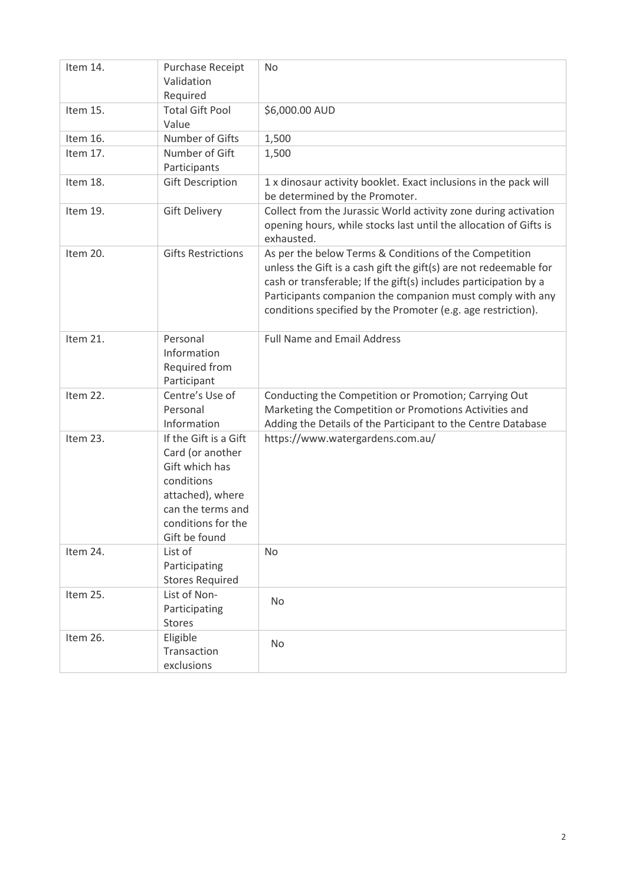| Item 14. | Purchase Receipt<br>Validation<br>Required                                                                                                                | <b>No</b>                                                                                                                                                                                                                                                                                                                    |
|----------|-----------------------------------------------------------------------------------------------------------------------------------------------------------|------------------------------------------------------------------------------------------------------------------------------------------------------------------------------------------------------------------------------------------------------------------------------------------------------------------------------|
| Item 15. | <b>Total Gift Pool</b><br>Value                                                                                                                           | \$6,000.00 AUD                                                                                                                                                                                                                                                                                                               |
| Item 16. | Number of Gifts                                                                                                                                           | 1,500                                                                                                                                                                                                                                                                                                                        |
| Item 17. | Number of Gift<br>Participants                                                                                                                            | 1,500                                                                                                                                                                                                                                                                                                                        |
| Item 18. | <b>Gift Description</b>                                                                                                                                   | 1 x dinosaur activity booklet. Exact inclusions in the pack will<br>be determined by the Promoter.                                                                                                                                                                                                                           |
| Item 19. | <b>Gift Delivery</b>                                                                                                                                      | Collect from the Jurassic World activity zone during activation<br>opening hours, while stocks last until the allocation of Gifts is<br>exhausted.                                                                                                                                                                           |
| Item 20. | <b>Gifts Restrictions</b>                                                                                                                                 | As per the below Terms & Conditions of the Competition<br>unless the Gift is a cash gift the gift(s) are not redeemable for<br>cash or transferable; If the gift(s) includes participation by a<br>Participants companion the companion must comply with any<br>conditions specified by the Promoter (e.g. age restriction). |
| Item 21. | Personal<br>Information<br>Required from<br>Participant                                                                                                   | <b>Full Name and Email Address</b>                                                                                                                                                                                                                                                                                           |
| Item 22. | Centre's Use of<br>Personal<br>Information                                                                                                                | Conducting the Competition or Promotion; Carrying Out<br>Marketing the Competition or Promotions Activities and<br>Adding the Details of the Participant to the Centre Database                                                                                                                                              |
| Item 23. | If the Gift is a Gift<br>Card (or another<br>Gift which has<br>conditions<br>attached), where<br>can the terms and<br>conditions for the<br>Gift be found | https://www.watergardens.com.au/                                                                                                                                                                                                                                                                                             |
| Item 24. | List of<br>Participating<br><b>Stores Required</b>                                                                                                        | <b>No</b>                                                                                                                                                                                                                                                                                                                    |
| Item 25. | List of Non-<br>Participating<br>Stores                                                                                                                   | No                                                                                                                                                                                                                                                                                                                           |
| Item 26. | Eligible<br>Transaction<br>exclusions                                                                                                                     | No                                                                                                                                                                                                                                                                                                                           |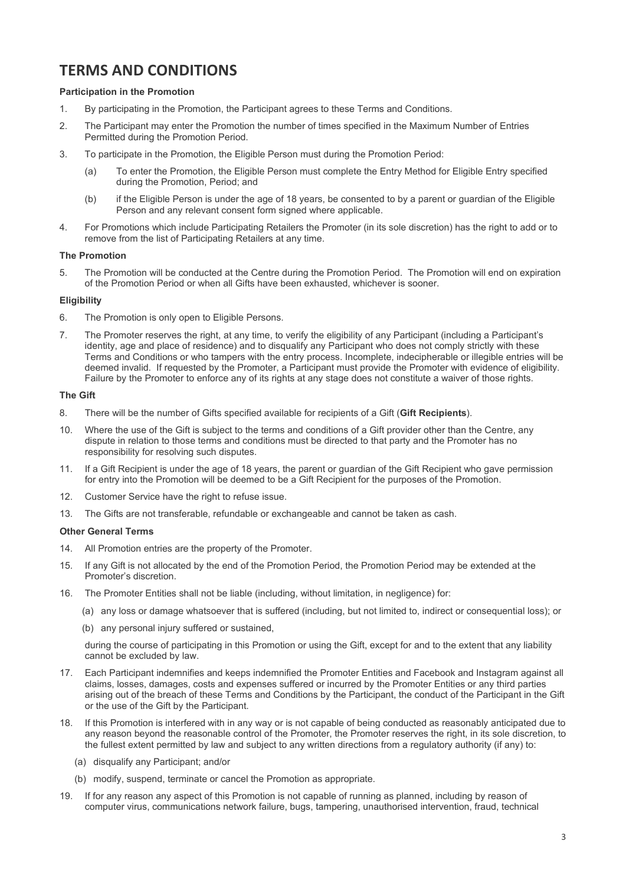### **TERMS AND CONDITIONS**

#### **Participation in the Promotion**

- 1. By participating in the Promotion, the Participant agrees to these Terms and Conditions.
- 2. The Participant may enter the Promotion the number of times specified in the Maximum Number of Entries Permitted during the Promotion Period.
- 3. To participate in the Promotion, the Eligible Person must during the Promotion Period:
	- (a) To enter the Promotion, the Eligible Person must complete the Entry Method for Eligible Entry specified during the Promotion, Period; and
	- (b) if the Eligible Person is under the age of 18 years, be consented to by a parent or guardian of the Eligible Person and any relevant consent form signed where applicable.
- 4. For Promotions which include Participating Retailers the Promoter (in its sole discretion) has the right to add or to remove from the list of Participating Retailers at any time.

#### **The Promotion**

5. The Promotion will be conducted at the Centre during the Promotion Period. The Promotion will end on expiration of the Promotion Period or when all Gifts have been exhausted, whichever is sooner.

#### **Eligibility**

- 6. The Promotion is only open to Eligible Persons.
- 7. The Promoter reserves the right, at any time, to verify the eligibility of any Participant (including a Participant's identity, age and place of residence) and to disqualify any Participant who does not comply strictly with these Terms and Conditions or who tampers with the entry process. Incomplete, indecipherable or illegible entries will be deemed invalid. If requested by the Promoter, a Participant must provide the Promoter with evidence of eligibility. Failure by the Promoter to enforce any of its rights at any stage does not constitute a waiver of those rights.

#### **The Gift**

- 8. There will be the number of Gifts specified available for recipients of a Gift (**Gift Recipients**).
- 10. Where the use of the Gift is subject to the terms and conditions of a Gift provider other than the Centre, any dispute in relation to those terms and conditions must be directed to that party and the Promoter has no responsibility for resolving such disputes.
- 11. If a Gift Recipient is under the age of 18 years, the parent or guardian of the Gift Recipient who gave permission for entry into the Promotion will be deemed to be a Gift Recipient for the purposes of the Promotion.
- 12. Customer Service have the right to refuse issue.
- 13. The Gifts are not transferable, refundable or exchangeable and cannot be taken as cash.

#### **Other General Terms**

- 14. All Promotion entries are the property of the Promoter.
- 15. If any Gift is not allocated by the end of the Promotion Period, the Promotion Period may be extended at the Promoter's discretion.
- 16. The Promoter Entities shall not be liable (including, without limitation, in negligence) for:
	- (a) any loss or damage whatsoever that is suffered (including, but not limited to, indirect or consequential loss); or
	- (b) any personal injury suffered or sustained,

during the course of participating in this Promotion or using the Gift, except for and to the extent that any liability cannot be excluded by law.

- 17. Each Participant indemnifies and keeps indemnified the Promoter Entities and Facebook and Instagram against all claims, losses, damages, costs and expenses suffered or incurred by the Promoter Entities or any third parties arising out of the breach of these Terms and Conditions by the Participant, the conduct of the Participant in the Gift or the use of the Gift by the Participant.
- 18. If this Promotion is interfered with in any way or is not capable of being conducted as reasonably anticipated due to any reason beyond the reasonable control of the Promoter, the Promoter reserves the right, in its sole discretion, to the fullest extent permitted by law and subject to any written directions from a regulatory authority (if any) to:
	- (a) disqualify any Participant; and/or
	- (b) modify, suspend, terminate or cancel the Promotion as appropriate.
- 19. If for any reason any aspect of this Promotion is not capable of running as planned, including by reason of computer virus, communications network failure, bugs, tampering, unauthorised intervention, fraud, technical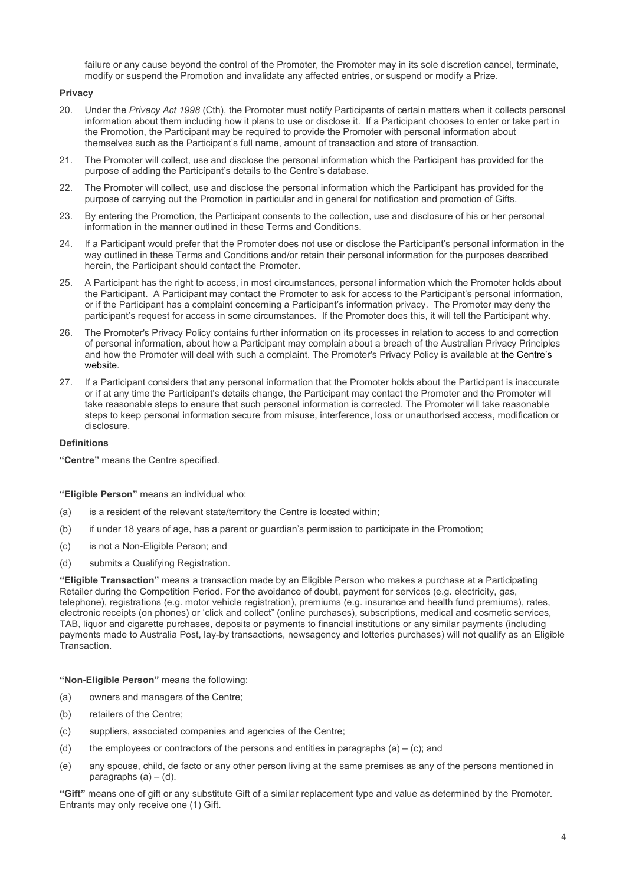failure or any cause beyond the control of the Promoter, the Promoter may in its sole discretion cancel, terminate, modify or suspend the Promotion and invalidate any affected entries, or suspend or modify a Prize.

#### **Privacy**

- 20. Under the *Privacy Act 1998* (Cth), the Promoter must notify Participants of certain matters when it collects personal information about them including how it plans to use or disclose it. If a Participant chooses to enter or take part in the Promotion, the Participant may be required to provide the Promoter with personal information about themselves such as the Participant's full name, amount of transaction and store of transaction.
- 21. The Promoter will collect, use and disclose the personal information which the Participant has provided for the purpose of adding the Participant's details to the Centre's database.
- 22. The Promoter will collect, use and disclose the personal information which the Participant has provided for the purpose of carrying out the Promotion in particular and in general for notification and promotion of Gifts.
- 23. By entering the Promotion, the Participant consents to the collection, use and disclosure of his or her personal information in the manner outlined in these Terms and Conditions.
- 24. If a Participant would prefer that the Promoter does not use or disclose the Participant's personal information in the way outlined in these Terms and Conditions and/or retain their personal information for the purposes described herein, the Participant should contact the Promoter**.**
- 25. A Participant has the right to access, in most circumstances, personal information which the Promoter holds about the Participant. A Participant may contact the Promoter to ask for access to the Participant's personal information, or if the Participant has a complaint concerning a Participant's information privacy. The Promoter may deny the participant's request for access in some circumstances. If the Promoter does this, it will tell the Participant why.
- 26. The Promoter's Privacy Policy contains further information on its processes in relation to access to and correction of personal information, about how a Participant may complain about a breach of the Australian Privacy Principles and how the Promoter will deal with such a complaint. The Promoter's Privacy Policy is available a[t the Centre's](http://www.pacificwerribee.com.au/)  [website.](http://www.pacificwerribee.com.au/)
- 27. If a Participant considers that any personal information that the Promoter holds about the Participant is inaccurate or if at any time the Participant's details change, the Participant may contact the Promoter and the Promoter will take reasonable steps to ensure that such personal information is corrected. The Promoter will take reasonable steps to keep personal information secure from misuse, interference, loss or unauthorised access, modification or disclosure.

#### **Definitions**

**"Centre"** means the Centre specified.

**"Eligible Person"** means an individual who:

- (a) is a resident of the relevant state/territory the Centre is located within;
- (b) if under 18 years of age, has a parent or guardian's permission to participate in the Promotion;
- (c) is not a Non-Eligible Person; and
- (d) submits a Qualifying Registration.

**"Eligible Transaction"** means a transaction made by an Eligible Person who makes a purchase at a Participating Retailer during the Competition Period. For the avoidance of doubt, payment for services (e.g. electricity, gas, telephone), registrations (e.g. motor vehicle registration), premiums (e.g. insurance and health fund premiums), rates, electronic receipts (on phones) or 'click and collect" (online purchases), subscriptions, medical and cosmetic services, TAB, liquor and cigarette purchases, deposits or payments to financial institutions or any similar payments (including payments made to Australia Post, lay-by transactions, newsagency and lotteries purchases) will not qualify as an Eligible Transaction.

**"Non-Eligible Person"** means the following:

- (a) owners and managers of the Centre;
- (b) retailers of the Centre;
- (c) suppliers, associated companies and agencies of the Centre;
- (d) the employees or contractors of the persons and entities in paragraphs  $(a) (c)$ ; and
- (e) any spouse, child, de facto or any other person living at the same premises as any of the persons mentioned in paragraphs  $(a) - (d)$ .

**"Gift"** means one of gift or any substitute Gift of a similar replacement type and value as determined by the Promoter. Entrants may only receive one (1) Gift.